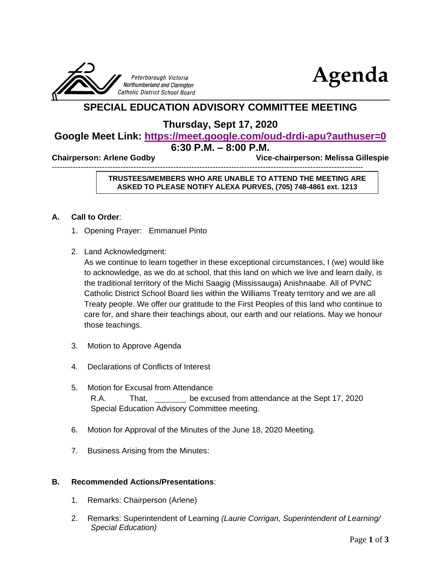



# **SPECIAL EDUCATION ADVISORY COMMITTEE MEETING**

# **Thursday, Sept 17, 2020**

# **Google Meet Link: <https://meet.google.com/oud-drdi-apu?authuser=0> 6:30 P.M. – 8:00 P.M.**

**Chairperson: Arlene Godby Vice-chairperson: Melissa Gillespie** 

----------------------------------------------------------------------------------------------------------------------

### **TRUSTEES/MEMBERS WHO ARE UNABLE TO ATTEND THE MEETING ARE ASKED TO PLEASE NOTIFY ALEXA PURVES, (705) 748-4861 ext. 1213**

## **A. Call to Order**:

- 1. Opening Prayer: Emmanuel Pinto
- 2. Land Acknowledgment:

As we continue to learn together in these exceptional circumstances, I (we) would like to acknowledge, as we do at school, that this land on which we live and learn daily, is the traditional territory of the Michi Saagig (Mississauga) Anishnaabe. All of PVNC Catholic District School Board lies within the Williams Treaty territory and we are all Treaty people. We offer our gratitude to the First Peoples of this land who continue to care for, and share their teachings about, our earth and our relations. May we honour those teachings.

- 3. Motion to Approve Agenda
- 4. Declarations of Conflicts of Interest
- 5. Motion for Excusal from Attendance R.A. That, be excused from attendance at the Sept 17, 2020 Special Education Advisory Committee meeting.
- 6. Motion for Approval of the Minutes of the June 18, 2020 Meeting.
- 7. Business Arising from the Minutes:

#### **B. Recommended Actions/Presentations**:

- 1. Remarks: Chairperson (Arlene)
- 2. Remarks: Superintendent of Learning *(Laurie Corrigan, Superintendent of Learning/ Special Education)*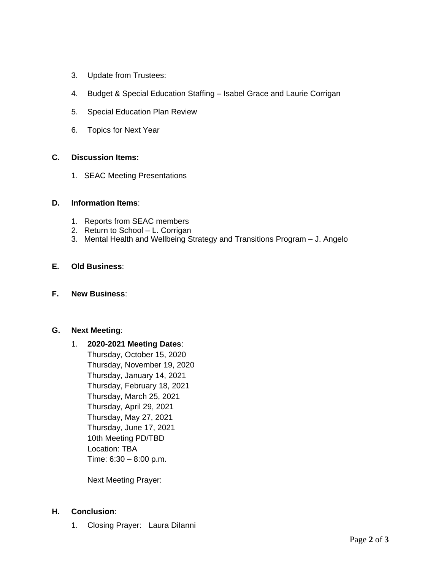- 3. Update from Trustees:
- 4. Budget & Special Education Staffing Isabel Grace and Laurie Corrigan
- 5. Special Education Plan Review
- 6. Topics for Next Year

#### **C. Discussion Items:**

1. SEAC Meeting Presentations

#### **D. Information Items**:

- 1. Reports from SEAC members
- 2. Return to School L. Corrigan
- 3. Mental Health and Wellbeing Strategy and Transitions Program J. Angelo

## **E. Old Business**:

#### **F. New Business**:

#### **G. Next Meeting**:

# 1. **2020-2021 Meeting Dates**:

Thursday, October 15, 2020 Thursday, November 19, 2020 Thursday, January 14, 2021 Thursday, February 18, 2021 Thursday, March 25, 2021 Thursday, April 29, 2021 Thursday, May 27, 2021 Thursday, June 17, 2021 10th Meeting PD/TBD Location: TBA Time: 6:30 – 8:00 p.m.

Next Meeting Prayer:

#### **H. Conclusion**:

1. Closing Prayer: Laura DiIanni